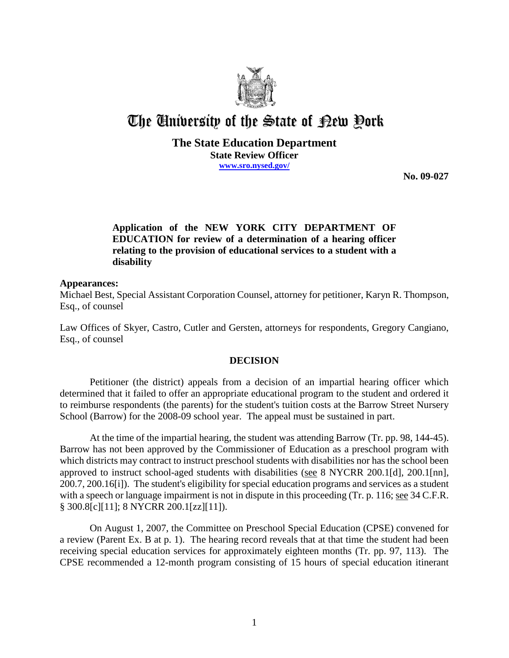

# The University of the State of Pew Pork

#### **The State Education Department State Review Officer www.sro.nysed.gov/**

**No. 09-027** 

# **Application of the NEW YORK CITY DEPARTMENT OF EDUCATION for review of a determination of a hearing officer relating to the provision of educational services to a student with a disability**

#### **Appearances:**

Michael Best, Special Assistant Corporation Counsel, attorney for petitioner, Karyn R. Thompson, Esq., of counsel

Law Offices of Skyer, Castro, Cutler and Gersten, attorneys for respondents, Gregory Cangiano, Esq., of counsel

## **DECISION**

Petitioner (the district) appeals from a decision of an impartial hearing officer which determined that it failed to offer an appropriate educational program to the student and ordered it to reimburse respondents (the parents) for the student's tuition costs at the Barrow Street Nursery School (Barrow) for the 2008-09 school year. The appeal must be sustained in part.

At the time of the impartial hearing, the student was attending Barrow (Tr. pp. 98, 144-45). Barrow has not been approved by the Commissioner of Education as a preschool program with which districts may contract to instruct preschool students with disabilities nor has the school been approved to instruct school-aged students with disabilities (see 8 NYCRR 200.1[d], 200.1[nn], 200.7, 200.16[i]). The student's eligibility for special education programs and services as a student with a speech or language impairment is not in dispute in this proceeding (Tr. p. 116; see 34 C.F.R. § 300.8[c][11]; 8 NYCRR 200.1[zz][11]).

On August 1, 2007, the Committee on Preschool Special Education (CPSE) convened for a review (Parent Ex. B at p. 1). The hearing record reveals that at that time the student had been receiving special education services for approximately eighteen months (Tr. pp. 97, 113). The CPSE recommended a 12-month program consisting of 15 hours of special education itinerant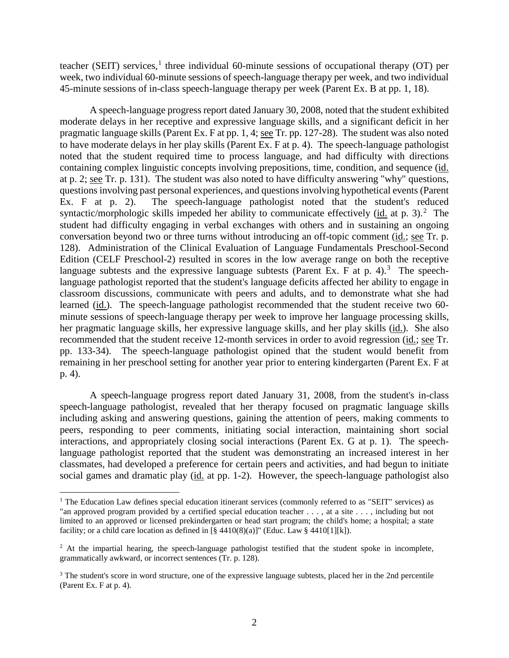teacher (SEIT) services,<sup>1</sup> three individual 60-minute sessions of occupational therapy (OT) per week, two individual 60-minute sessions of speech-language therapy per week, and two individual 45-minute sessions of in-class speech-language therapy per week (Parent Ex. B at pp. 1, 18).

A speech-language progress report dated January 30, 2008, noted that the student exhibited moderate delays in her receptive and expressive language skills, and a significant deficit in her pragmatic language skills (Parent Ex. F at pp. 1, 4; see Tr. pp. 127-28). The student was also noted to have moderate delays in her play skills (Parent Ex. F at p. 4). The speech-language pathologist noted that the student required time to process language, and had difficulty with directions containing complex linguistic concepts involving prepositions, time, condition, and sequence (id. at p. 2; see Tr. p. 131). The student was also noted to have difficulty answering "why" questions, questions involving past personal experiences, and questions involving hypothetical events (Parent Ex. F at p. 2). The speech-language pathologist noted that the student's reduced syntactic/morphologic skills impeded her ability to communicate effectively  $(id$ . at p. 3).<sup>2</sup> The student had difficulty engaging in verbal exchanges with others and in sustaining an ongoing conversation beyond two or three turns without introducing an off-topic comment (id.; see Tr. p. 128). Administration of the Clinical Evaluation of Language Fundamentals Preschool-Second Edition (CELF Preschool-2) resulted in scores in the low average range on both the receptive language subtests and the expressive language subtests (Parent Ex. F at p. 4).<sup>3</sup> The speechlanguage pathologist reported that the student's language deficits affected her ability to engage in classroom discussions, communicate with peers and adults, and to demonstrate what she had learned (id.). The speech-language pathologist recommended that the student receive two 60 minute sessions of speech-language therapy per week to improve her language processing skills, her pragmatic language skills, her expressive language skills, and her play skills (id.). She also recommended that the student receive 12-month services in order to avoid regression (id.; see Tr. pp. 133-34). The speech-language pathologist opined that the student would benefit from remaining in her preschool setting for another year prior to entering kindergarten (Parent Ex. F at p. 4).

A speech-language progress report dated January 31, 2008, from the student's in-class speech-language pathologist, revealed that her therapy focused on pragmatic language skills including asking and answering questions, gaining the attention of peers, making comments to peers, responding to peer comments, initiating social interaction, maintaining short social interactions, and appropriately closing social interactions (Parent Ex. G at p. 1). The speechlanguage pathologist reported that the student was demonstrating an increased interest in her classmates, had developed a preference for certain peers and activities, and had begun to initiate social games and dramatic play (id. at pp. 1-2). However, the speech-language pathologist also

<sup>&</sup>lt;sup>1</sup> The Education Law defines special education itinerant services (commonly referred to as "SEIT" services) as "an approved program provided by a certified special education teacher . . . , at a site . . . , including but not limited to an approved or licensed prekindergarten or head start program; the child's home; a hospital; a state facility; or a child care location as defined in  $[\S 4410(8)(a)]$ " (Educ. Law  $\S 4410[1][k]$ ).

 $<sup>2</sup>$  At the impartial hearing, the speech-language pathologist testified that the student spoke in incomplete,</sup> grammatically awkward, or incorrect sentences (Tr. p. 128).

<sup>&</sup>lt;sup>3</sup> The student's score in word structure, one of the expressive language subtests, placed her in the 2nd percentile (Parent Ex. F at p. 4).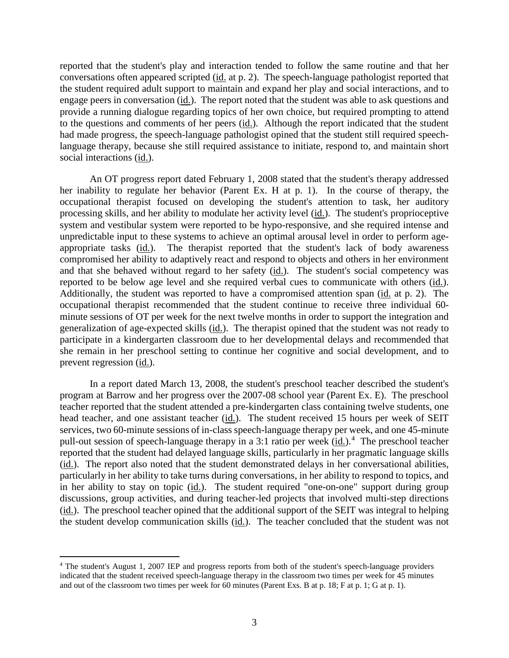reported that the student's play and interaction tended to follow the same routine and that her conversations often appeared scripted (id. at p. 2). The speech-language pathologist reported that the student required adult support to maintain and expand her play and social interactions, and to engage peers in conversation (id.). The report noted that the student was able to ask questions and provide a running dialogue regarding topics of her own choice, but required prompting to attend to the questions and comments of her peers  $(id)$ . Although the report indicated that the student had made progress, the speech-language pathologist opined that the student still required speechlanguage therapy, because she still required assistance to initiate, respond to, and maintain short social interactions (id.).

 An OT progress report dated February 1, 2008 stated that the student's therapy addressed her inability to regulate her behavior (Parent Ex. H at p. 1). In the course of therapy, the occupational therapist focused on developing the student's attention to task, her auditory processing skills, and her ability to modulate her activity level (id.). The student's proprioceptive system and vestibular system were reported to be hypo-responsive, and she required intense and unpredictable input to these systems to achieve an optimal arousal level in order to perform ageappropriate tasks (id.). The therapist reported that the student's lack of body awareness compromised her ability to adaptively react and respond to objects and others in her environment and that she behaved without regard to her safety (id.). The student's social competency was reported to be below age level and she required verbal cues to communicate with others (id.). Additionally, the student was reported to have a compromised attention span (id. at p. 2). The occupational therapist recommended that the student continue to receive three individual 60 minute sessions of OT per week for the next twelve months in order to support the integration and generalization of age-expected skills (id.). The therapist opined that the student was not ready to participate in a kindergarten classroom due to her developmental delays and recommended that she remain in her preschool setting to continue her cognitive and social development, and to prevent regression (id.).

In a report dated March 13, 2008, the student's preschool teacher described the student's program at Barrow and her progress over the 2007-08 school year (Parent Ex. E). The preschool teacher reported that the student attended a pre-kindergarten class containing twelve students, one head teacher, and one assistant teacher (id.). The student received 15 hours per week of SEIT services, two 60-minute sessions of in-class speech-language therapy per week, and one 45-minute pull-out session of speech-language therapy in a 3:1 ratio per week (id.).<sup>4</sup> The preschool teacher reported that the student had delayed language skills, particularly in her pragmatic language skills (id.). The report also noted that the student demonstrated delays in her conversational abilities, particularly in her ability to take turns during conversations, in her ability to respond to topics, and in her ability to stay on topic  $(id)$ . The student required "one-on-one" support during group discussions, group activities, and during teacher-led projects that involved multi-step directions (id.). The preschool teacher opined that the additional support of the SEIT was integral to helping the student develop communication skills (id.). The teacher concluded that the student was not

<sup>4</sup> The student's August 1, 2007 IEP and progress reports from both of the student's speech-language providers indicated that the student received speech-language therapy in the classroom two times per week for 45 minutes and out of the classroom two times per week for 60 minutes (Parent Exs. B at p. 18; F at p. 1; G at p. 1).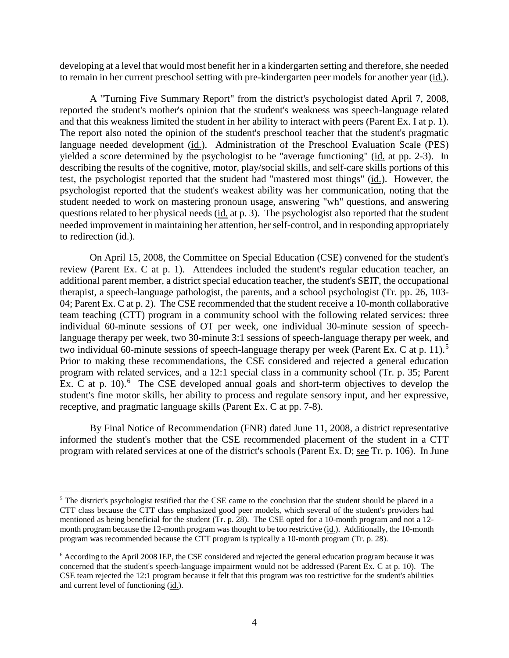developing at a level that would most benefit her in a kindergarten setting and therefore, she needed to remain in her current preschool setting with pre-kindergarten peer models for another year (id.).

A "Turning Five Summary Report" from the district's psychologist dated April 7, 2008, reported the student's mother's opinion that the student's weakness was speech-language related and that this weakness limited the student in her ability to interact with peers (Parent Ex. I at p. 1). The report also noted the opinion of the student's preschool teacher that the student's pragmatic language needed development (id.). Administration of the Preschool Evaluation Scale (PES) vielded a score determined by the psychologist to be "average functioning" (id. at pp. 2-3). In describing the results of the cognitive, motor, play/social skills, and self-care skills portions of this test, the psychologist reported that the student had "mastered most things" (id.). However, the psychologist reported that the student's weakest ability was her communication, noting that the student needed to work on mastering pronoun usage, answering "wh" questions, and answering questions related to her physical needs (id. at p. 3). The psychologist also reported that the student needed improvement in maintaining her attention, her self-control, and in responding appropriately to redirection (id.).

On April 15, 2008, the Committee on Special Education (CSE) convened for the student's review (Parent Ex. C at p. 1). Attendees included the student's regular education teacher, an additional parent member, a district special education teacher, the student's SEIT, the occupational therapist, a speech-language pathologist, the parents, and a school psychologist (Tr. pp. 26, 103- 04; Parent Ex. C at p. 2). The CSE recommended that the student receive a 10-month collaborative team teaching (CTT) program in a community school with the following related services: three individual 60-minute sessions of OT per week, one individual 30-minute session of speechlanguage therapy per week, two 30-minute 3:1 sessions of speech-language therapy per week, and two individual 60-minute sessions of speech-language therapy per week (Parent Ex. C at p. 11).<sup>5</sup> Prior to making these recommendations, the CSE considered and rejected a general education program with related services, and a 12:1 special class in a community school (Tr. p. 35; Parent Ex. C at p.  $10$ ).<sup>6</sup> The CSE developed annual goals and short-term objectives to develop the student's fine motor skills, her ability to process and regulate sensory input, and her expressive, receptive, and pragmatic language skills (Parent Ex. C at pp. 7-8).

By Final Notice of Recommendation (FNR) dated June 11, 2008, a district representative informed the student's mother that the CSE recommended placement of the student in a CTT program with related services at one of the district's schools (Parent Ex. D; see Tr. p. 106). In June

<sup>&</sup>lt;sup>5</sup> The district's psychologist testified that the CSE came to the conclusion that the student should be placed in a CTT class because the CTT class emphasized good peer models, which several of the student's providers had mentioned as being beneficial for the student (Tr. p. 28). The CSE opted for a 10-month program and not a 12 month program because the 12-month program was thought to be too restrictive (id.). Additionally, the 10-month program was recommended because the CTT program is typically a 10-month program (Tr. p. 28).

<sup>6</sup> According to the April 2008 IEP, the CSE considered and rejected the general education program because it was concerned that the student's speech-language impairment would not be addressed (Parent Ex. C at p. 10). The CSE team rejected the 12:1 program because it felt that this program was too restrictive for the student's abilities and current level of functioning (id.).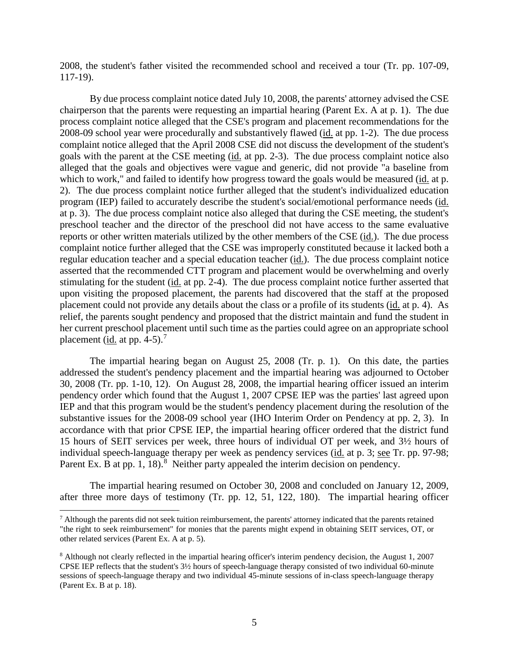2008, the student's father visited the recommended school and received a tour (Tr. pp. 107-09, 117-19).

By due process complaint notice dated July 10, 2008, the parents' attorney advised the CSE chairperson that the parents were requesting an impartial hearing (Parent Ex. A at p. 1). The due process complaint notice alleged that the CSE's program and placement recommendations for the 2008-09 school year were procedurally and substantively flawed (id. at pp. 1-2). The due process complaint notice alleged that the April 2008 CSE did not discuss the development of the student's goals with the parent at the CSE meeting (id. at pp. 2-3). The due process complaint notice also alleged that the goals and objectives were vague and generic, did not provide "a baseline from which to work," and failed to identify how progress toward the goals would be measured (id. at p. 2). The due process complaint notice further alleged that the student's individualized education program (IEP) failed to accurately describe the student's social/emotional performance needs (id. at p. 3). The due process complaint notice also alleged that during the CSE meeting, the student's preschool teacher and the director of the preschool did not have access to the same evaluative reports or other written materials utilized by the other members of the CSE (id.). The due process complaint notice further alleged that the CSE was improperly constituted because it lacked both a regular education teacher and a special education teacher (id.). The due process complaint notice asserted that the recommended CTT program and placement would be overwhelming and overly stimulating for the student (id. at pp. 2-4). The due process complaint notice further asserted that upon visiting the proposed placement, the parents had discovered that the staff at the proposed placement could not provide any details about the class or a profile of its students (id. at p. 4). As relief, the parents sought pendency and proposed that the district maintain and fund the student in her current preschool placement until such time as the parties could agree on an appropriate school placement (id. at pp. 4-5).<sup>7</sup>

The impartial hearing began on August 25, 2008 (Tr. p. 1). On this date, the parties addressed the student's pendency placement and the impartial hearing was adjourned to October 30, 2008 (Tr. pp. 1-10, 12). On August 28, 2008, the impartial hearing officer issued an interim pendency order which found that the August 1, 2007 CPSE IEP was the parties' last agreed upon IEP and that this program would be the student's pendency placement during the resolution of the substantive issues for the 2008-09 school year (IHO Interim Order on Pendency at pp. 2, 3). In accordance with that prior CPSE IEP, the impartial hearing officer ordered that the district fund 15 hours of SEIT services per week, three hours of individual OT per week, and 3½ hours of individual speech-language therapy per week as pendency services (id. at p. 3; see Tr. pp. 97-98; Parent Ex. B at pp. 1, 18). $8$  Neither party appealed the interim decision on pendency.

The impartial hearing resumed on October 30, 2008 and concluded on January 12, 2009, after three more days of testimony (Tr. pp. 12, 51, 122, 180). The impartial hearing officer

 $<sup>7</sup>$  Although the parents did not seek tuition reimbursement, the parents' attorney indicated that the parents retained</sup> "the right to seek reimbursement" for monies that the parents might expend in obtaining SEIT services, OT, or other related services (Parent Ex. A at p. 5).

<sup>8</sup> Although not clearly reflected in the impartial hearing officer's interim pendency decision, the August 1, 2007 CPSE IEP reflects that the student's 3½ hours of speech-language therapy consisted of two individual 60-minute sessions of speech-language therapy and two individual 45-minute sessions of in-class speech-language therapy (Parent Ex. B at p. 18).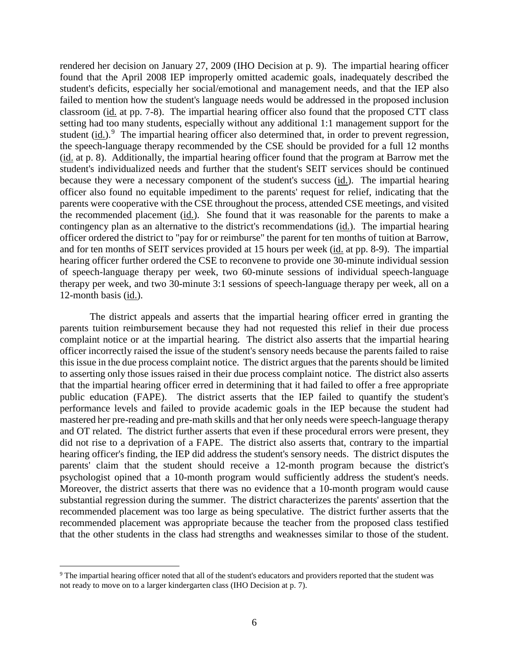rendered her decision on January 27, 2009 (IHO Decision at p. 9). The impartial hearing officer found that the April 2008 IEP improperly omitted academic goals, inadequately described the student's deficits, especially her social/emotional and management needs, and that the IEP also failed to mention how the student's language needs would be addressed in the proposed inclusion classroom (id. at pp. 7-8). The impartial hearing officer also found that the proposed CTT class setting had too many students, especially without any additional 1:1 management support for the student  $(id.)$ <sup>9</sup> The impartial hearing officer also determined that, in order to prevent regression, the speech-language therapy recommended by the CSE should be provided for a full 12 months (id. at p. 8). Additionally, the impartial hearing officer found that the program at Barrow met the student's individualized needs and further that the student's SEIT services should be continued because they were a necessary component of the student's success (id.). The impartial hearing officer also found no equitable impediment to the parents' request for relief, indicating that the parents were cooperative with the CSE throughout the process, attended CSE meetings, and visited the recommended placement (id.). She found that it was reasonable for the parents to make a contingency plan as an alternative to the district's recommendations (id.). The impartial hearing officer ordered the district to "pay for or reimburse" the parent for ten months of tuition at Barrow, and for ten months of SEIT services provided at 15 hours per week (id. at pp. 8-9). The impartial hearing officer further ordered the CSE to reconvene to provide one 30-minute individual session of speech-language therapy per week, two 60-minute sessions of individual speech-language therapy per week, and two 30-minute 3:1 sessions of speech-language therapy per week, all on a 12-month basis (id.).

The district appeals and asserts that the impartial hearing officer erred in granting the parents tuition reimbursement because they had not requested this relief in their due process complaint notice or at the impartial hearing. The district also asserts that the impartial hearing officer incorrectly raised the issue of the student's sensory needs because the parents failed to raise this issue in the due process complaint notice. The district argues that the parents should be limited to asserting only those issues raised in their due process complaint notice. The district also asserts that the impartial hearing officer erred in determining that it had failed to offer a free appropriate public education (FAPE). The district asserts that the IEP failed to quantify the student's performance levels and failed to provide academic goals in the IEP because the student had mastered her pre-reading and pre-math skills and that her only needs were speech-language therapy and OT related. The district further asserts that even if these procedural errors were present, they did not rise to a deprivation of a FAPE. The district also asserts that, contrary to the impartial hearing officer's finding, the IEP did address the student's sensory needs. The district disputes the parents' claim that the student should receive a 12-month program because the district's psychologist opined that a 10-month program would sufficiently address the student's needs. Moreover, the district asserts that there was no evidence that a 10-month program would cause substantial regression during the summer. The district characterizes the parents' assertion that the recommended placement was too large as being speculative. The district further asserts that the recommended placement was appropriate because the teacher from the proposed class testified that the other students in the class had strengths and weaknesses similar to those of the student.

<sup>&</sup>lt;sup>9</sup> The impartial hearing officer noted that all of the student's educators and providers reported that the student was not ready to move on to a larger kindergarten class (IHO Decision at p. 7).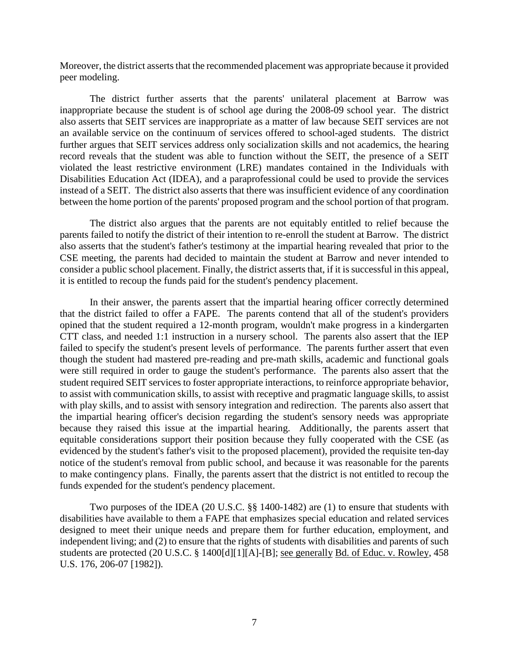Moreover, the district asserts that the recommended placement was appropriate because it provided peer modeling.

The district further asserts that the parents' unilateral placement at Barrow was inappropriate because the student is of school age during the 2008-09 school year. The district also asserts that SEIT services are inappropriate as a matter of law because SEIT services are not an available service on the continuum of services offered to school-aged students. The district further argues that SEIT services address only socialization skills and not academics, the hearing record reveals that the student was able to function without the SEIT, the presence of a SEIT violated the least restrictive environment (LRE) mandates contained in the Individuals with Disabilities Education Act (IDEA), and a paraprofessional could be used to provide the services instead of a SEIT. The district also asserts that there was insufficient evidence of any coordination between the home portion of the parents' proposed program and the school portion of that program.

The district also argues that the parents are not equitably entitled to relief because the parents failed to notify the district of their intention to re-enroll the student at Barrow. The district also asserts that the student's father's testimony at the impartial hearing revealed that prior to the CSE meeting, the parents had decided to maintain the student at Barrow and never intended to consider a public school placement. Finally, the district asserts that, if it is successful in this appeal, it is entitled to recoup the funds paid for the student's pendency placement.

In their answer, the parents assert that the impartial hearing officer correctly determined that the district failed to offer a FAPE. The parents contend that all of the student's providers opined that the student required a 12-month program, wouldn't make progress in a kindergarten CTT class, and needed 1:1 instruction in a nursery school. The parents also assert that the IEP failed to specify the student's present levels of performance. The parents further assert that even though the student had mastered pre-reading and pre-math skills, academic and functional goals were still required in order to gauge the student's performance. The parents also assert that the student required SEIT services to foster appropriate interactions, to reinforce appropriate behavior, to assist with communication skills, to assist with receptive and pragmatic language skills, to assist with play skills, and to assist with sensory integration and redirection. The parents also assert that the impartial hearing officer's decision regarding the student's sensory needs was appropriate because they raised this issue at the impartial hearing.Additionally, the parents assert that equitable considerations support their position because they fully cooperated with the CSE (as evidenced by the student's father's visit to the proposed placement), provided the requisite ten-day notice of the student's removal from public school, and because it was reasonable for the parents to make contingency plans. Finally, the parents assert that the district is not entitled to recoup the funds expended for the student's pendency placement.

Two purposes of the IDEA (20 U.S.C. §§ 1400-1482) are (1) to ensure that students with disabilities have available to them a FAPE that emphasizes special education and related services designed to meet their unique needs and prepare them for further education, employment, and independent living; and (2) to ensure that the rights of students with disabilities and parents of such students are protected (20 U.S.C. § 1400[d][1][A]-[B]; see generally Bd. of Educ. v. Rowley, 458 U.S. 176, 206-07 [1982]).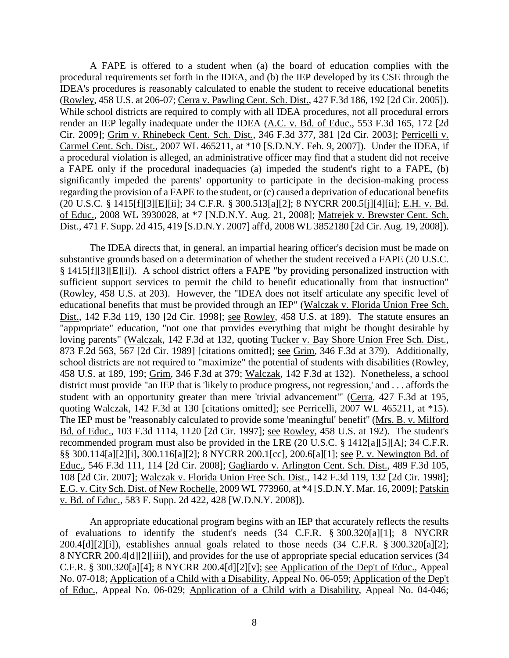A FAPE is offered to a student when (a) the board of education complies with the procedural requirements set forth in the IDEA, and (b) the IEP developed by its CSE through the IDEA's procedures is reasonably calculated to enable the student to receive educational benefits (Rowley, 458 U.S. at 206-07; Cerra v. Pawling Cent. Sch. Dist., 427 F.3d 186, 192 [2d Cir. 2005]). While school districts are required to comply with all IDEA procedures, not all procedural errors render an IEP legally inadequate under the IDEA (A.C. v. Bd. of Educ., 553 F.3d 165, 172 [2d Cir. 2009]; Grim v. Rhinebeck Cent. Sch. Dist., 346 F.3d 377, 381 [2d Cir. 2003]; Perricelli v. Carmel Cent. Sch. Dist., 2007 WL 465211, at \*10 [S.D.N.Y. Feb. 9, 2007]). Under the IDEA, if a procedural violation is alleged, an administrative officer may find that a student did not receive a FAPE only if the procedural inadequacies (a) impeded the student's right to a FAPE, (b) significantly impeded the parents' opportunity to participate in the decision-making process regarding the provision of a FAPE to the student, or (c) caused a deprivation of educational benefits (20 U.S.C. § 1415[f][3][E][ii]; 34 C.F.R. § 300.513[a][2]; 8 NYCRR 200.5[j][4][ii]; E.H. v. Bd. of Educ., 2008 WL 3930028, at \*7 [N.D.N.Y. Aug. 21, 2008]; Matrejek v. Brewster Cent. Sch. Dist., 471 F. Supp. 2d 415, 419 [S.D.N.Y. 2007] aff'd, 2008 WL 3852180 [2d Cir. Aug. 19, 2008]).

The IDEA directs that, in general, an impartial hearing officer's decision must be made on substantive grounds based on a determination of whether the student received a FAPE (20 U.S.C. § 1415[f][3][E][i]). A school district offers a FAPE "by providing personalized instruction with sufficient support services to permit the child to benefit educationally from that instruction" (Rowley, 458 U.S. at 203). However, the "IDEA does not itself articulate any specific level of educational benefits that must be provided through an IEP" (Walczak v. Florida Union Free Sch. Dist., 142 F.3d 119, 130 [2d Cir. 1998]; see Rowley, 458 U.S. at 189). The statute ensures an "appropriate" education, "not one that provides everything that might be thought desirable by loving parents" (Walczak, 142 F.3d at 132, quoting Tucker v. Bay Shore Union Free Sch. Dist., 873 F.2d 563, 567 [2d Cir. 1989] [citations omitted]; see Grim, 346 F.3d at 379). Additionally, school districts are not required to "maximize" the potential of students with disabilities (Rowley, 458 U.S. at 189, 199; Grim, 346 F.3d at 379; Walczak, 142 F.3d at 132). Nonetheless, a school district must provide "an IEP that is 'likely to produce progress, not regression,' and . . . affords the student with an opportunity greater than mere 'trivial advancement'" (Cerra, 427 F.3d at 195, quoting Walczak, 142 F.3d at 130 [citations omitted]; see Perricelli, 2007 WL 465211, at \*15). The IEP must be "reasonably calculated to provide some 'meaningful' benefit" (Mrs. B. v. Milford Bd. of Educ., 103 F.3d 1114, 1120 [2d Cir. 1997]; see Rowley, 458 U.S. at 192). The student's recommended program must also be provided in the LRE (20 U.S.C. § 1412[a][5][A]; 34 C.F.R. §§ 300.114[a][2][i], 300.116[a][2]; 8 NYCRR 200.1[cc], 200.6[a][1]; see P. v. Newington Bd. of Educ., 546 F.3d 111, 114 [2d Cir. 2008]; Gagliardo v. Arlington Cent. Sch. Dist., 489 F.3d 105, 108 [2d Cir. 2007]; Walczak v. Florida Union Free Sch. Dist., 142 F.3d 119, 132 [2d Cir. 1998]; E.G. v. City Sch. Dist. of New Rochelle, 2009 WL 773960, at \*4 [S.D.N.Y. Mar. 16, 2009]; Patskin v. Bd. of Educ., 583 F. Supp. 2d 422, 428 [W.D.N.Y. 2008]).

An appropriate educational program begins with an IEP that accurately reflects the results of evaluations to identify the student's needs (34 C.F.R. § 300.320[a][1]; 8 NYCRR 200.4[d][2][i]), establishes annual goals related to those needs (34 C.F.R. § 300.320[a][2]; 8 NYCRR 200.4[d][2][iii]), and provides for the use of appropriate special education services (34 C.F.R. § 300.320[a][4]; 8 NYCRR 200.4[d][2][v]; see Application of the Dep't of Educ., Appeal No. 07-018; Application of a Child with a Disability, Appeal No. 06-059; Application of the Dep't of Educ., Appeal No. 06-029; Application of a Child with a Disability, Appeal No. 04-046;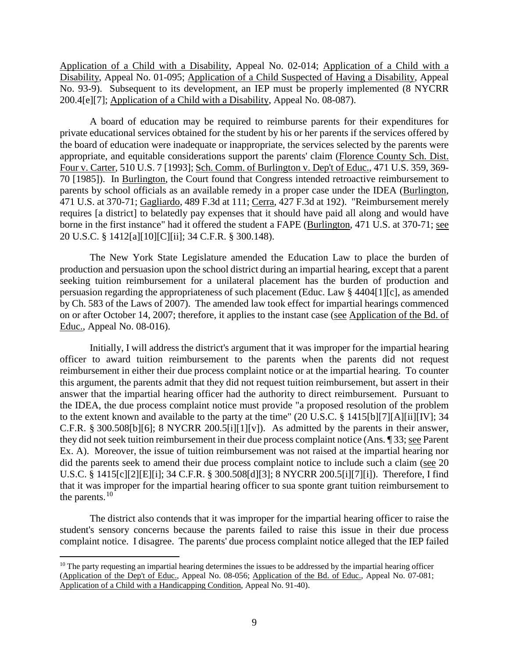Application of a Child with a Disability, Appeal No. 02-014; Application of a Child with a Disability, Appeal No. 01-095; Application of a Child Suspected of Having a Disability, Appeal No. 93-9). Subsequent to its development, an IEP must be properly implemented (8 NYCRR 200.4[e][7]; Application of a Child with a Disability, Appeal No. 08-087).

A board of education may be required to reimburse parents for their expenditures for private educational services obtained for the student by his or her parents if the services offered by the board of education were inadequate or inappropriate, the services selected by the parents were appropriate, and equitable considerations support the parents' claim (Florence County Sch. Dist. Four v. Carter, 510 U.S. 7 [1993]; Sch. Comm. of Burlington v. Dep't of Educ., 471 U.S. 359, 369- 70 [1985]). In Burlington, the Court found that Congress intended retroactive reimbursement to parents by school officials as an available remedy in a proper case under the IDEA (Burlington, 471 U.S. at 370-71; Gagliardo, 489 F.3d at 111; Cerra, 427 F.3d at 192). "Reimbursement merely requires [a district] to belatedly pay expenses that it should have paid all along and would have borne in the first instance" had it offered the student a FAPE (Burlington, 471 U.S. at 370-71; see 20 U.S.C. § 1412[a][10][C][ii]; 34 C.F.R. § 300.148).

The New York State Legislature amended the Education Law to place the burden of production and persuasion upon the school district during an impartial hearing, except that a parent seeking tuition reimbursement for a unilateral placement has the burden of production and persuasion regarding the appropriateness of such placement (Educ. Law § 4404[1][c], as amended by Ch. 583 of the Laws of 2007). The amended law took effect for impartial hearings commenced on or after October 14, 2007; therefore, it applies to the instant case (see Application of the Bd. of Educ., Appeal No. 08-016).

Initially, I will address the district's argument that it was improper for the impartial hearing officer to award tuition reimbursement to the parents when the parents did not request reimbursement in either their due process complaint notice or at the impartial hearing. To counter this argument, the parents admit that they did not request tuition reimbursement, but assert in their answer that the impartial hearing officer had the authority to direct reimbursement. Pursuant to the IDEA, the due process complaint notice must provide "a proposed resolution of the problem to the extent known and available to the party at the time" (20 U.S.C. § 1415[b][7][A][ii][IV]; 34 C.F.R. § 300.508[b][6]; 8 NYCRR 200.5[i][1][v]). As admitted by the parents in their answer, they did not seek tuition reimbursement in their due process complaint notice (Ans. ¶ 33; see Parent Ex. A). Moreover, the issue of tuition reimbursement was not raised at the impartial hearing nor did the parents seek to amend their due process complaint notice to include such a claim (see 20 U.S.C. § 1415[c][2][E][i]; 34 C.F.R. § 300.508[d][3]; 8 NYCRR 200.5[i][7][i]). Therefore, I find that it was improper for the impartial hearing officer to sua sponte grant tuition reimbursement to the parents.  $10$ 

 The district also contends that it was improper for the impartial hearing officer to raise the student's sensory concerns because the parents failed to raise this issue in their due process complaint notice. I disagree. The parents' due process complaint notice alleged that the IEP failed

 $10$  The party requesting an impartial hearing determines the issues to be addressed by the impartial hearing officer (Application of the Dep't of Educ., Appeal No. 08-056; Application of the Bd. of Educ., Appeal No. 07-081; Application of a Child with a Handicapping Condition, Appeal No. 91-40).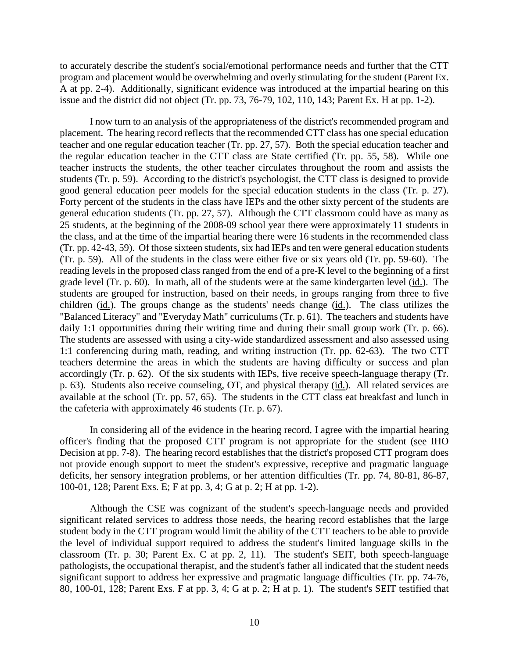to accurately describe the student's social/emotional performance needs and further that the CTT program and placement would be overwhelming and overly stimulating for the student (Parent Ex. A at pp. 2-4). Additionally, significant evidence was introduced at the impartial hearing on this issue and the district did not object (Tr. pp. 73, 76-79, 102, 110, 143; Parent Ex. H at pp. 1-2).

I now turn to an analysis of the appropriateness of the district's recommended program and placement. The hearing record reflects that the recommended CTT class has one special education teacher and one regular education teacher (Tr. pp. 27, 57). Both the special education teacher and the regular education teacher in the CTT class are State certified (Tr. pp. 55, 58). While one teacher instructs the students, the other teacher circulates throughout the room and assists the students (Tr. p. 59). According to the district's psychologist, the CTT class is designed to provide good general education peer models for the special education students in the class (Tr. p. 27). Forty percent of the students in the class have IEPs and the other sixty percent of the students are general education students (Tr. pp. 27, 57). Although the CTT classroom could have as many as 25 students, at the beginning of the 2008-09 school year there were approximately 11 students in the class, and at the time of the impartial hearing there were 16 students in the recommended class (Tr. pp. 42-43, 59). Of those sixteen students, six had IEPs and ten were general education students (Tr. p. 59). All of the students in the class were either five or six years old (Tr. pp. 59-60). The reading levels in the proposed class ranged from the end of a pre-K level to the beginning of a first grade level (Tr. p. 60). In math, all of the students were at the same kindergarten level (id.). The students are grouped for instruction, based on their needs, in groups ranging from three to five children (id.). The groups change as the students' needs change (id.). The class utilizes the "Balanced Literacy" and "Everyday Math" curriculums (Tr. p. 61). The teachers and students have daily 1:1 opportunities during their writing time and during their small group work (Tr. p. 66). The students are assessed with using a city-wide standardized assessment and also assessed using 1:1 conferencing during math, reading, and writing instruction (Tr. pp. 62-63). The two CTT teachers determine the areas in which the students are having difficulty or success and plan accordingly (Tr. p. 62). Of the six students with IEPs, five receive speech-language therapy (Tr. p. 63). Students also receive counseling, OT, and physical therapy (id.). All related services are available at the school (Tr. pp. 57, 65). The students in the CTT class eat breakfast and lunch in the cafeteria with approximately 46 students (Tr. p. 67).

In considering all of the evidence in the hearing record, I agree with the impartial hearing officer's finding that the proposed CTT program is not appropriate for the student (see IHO Decision at pp. 7-8). The hearing record establishes that the district's proposed CTT program does not provide enough support to meet the student's expressive, receptive and pragmatic language deficits, her sensory integration problems, or her attention difficulties (Tr. pp. 74, 80-81, 86-87, 100-01, 128; Parent Exs. E; F at pp. 3, 4; G at p. 2; H at pp. 1-2).

Although the CSE was cognizant of the student's speech-language needs and provided significant related services to address those needs, the hearing record establishes that the large student body in the CTT program would limit the ability of the CTT teachers to be able to provide the level of individual support required to address the student's limited language skills in the classroom (Tr. p. 30; Parent Ex. C at pp. 2, 11). The student's SEIT, both speech-language pathologists, the occupational therapist, and the student's father all indicated that the student needs significant support to address her expressive and pragmatic language difficulties (Tr. pp. 74-76, 80, 100-01, 128; Parent Exs. F at pp. 3, 4; G at p. 2; H at p. 1). The student's SEIT testified that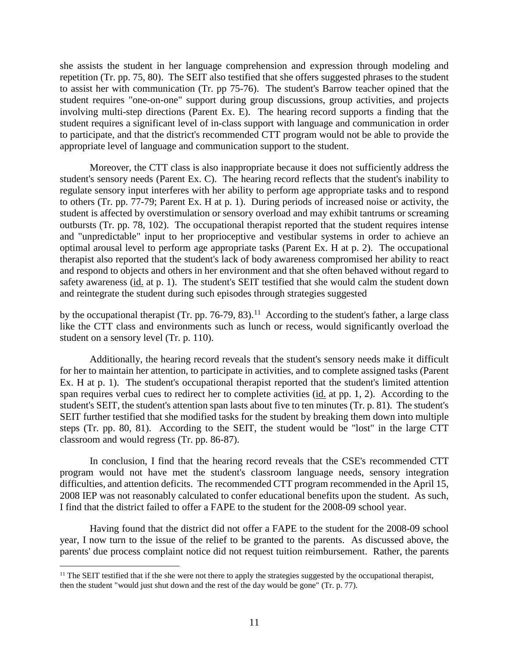she assists the student in her language comprehension and expression through modeling and repetition (Tr. pp. 75, 80). The SEIT also testified that she offers suggested phrases to the student to assist her with communication (Tr. pp 75-76). The student's Barrow teacher opined that the student requires "one-on-one" support during group discussions, group activities, and projects involving multi-step directions (Parent Ex. E). The hearing record supports a finding that the student requires a significant level of in-class support with language and communication in order to participate, and that the district's recommended CTT program would not be able to provide the appropriate level of language and communication support to the student.

Moreover, the CTT class is also inappropriate because it does not sufficiently address the student's sensory needs (Parent Ex. C). The hearing record reflects that the student's inability to regulate sensory input interferes with her ability to perform age appropriate tasks and to respond to others (Tr. pp. 77-79; Parent Ex. H at p. 1). During periods of increased noise or activity, the student is affected by overstimulation or sensory overload and may exhibit tantrums or screaming outbursts (Tr. pp. 78, 102). The occupational therapist reported that the student requires intense and "unpredictable" input to her proprioceptive and vestibular systems in order to achieve an optimal arousal level to perform age appropriate tasks (Parent Ex. H at p. 2). The occupational therapist also reported that the student's lack of body awareness compromised her ability to react and respond to objects and others in her environment and that she often behaved without regard to safety awareness (id. at p. 1). The student's SEIT testified that she would calm the student down and reintegrate the student during such episodes through strategies suggested

by the occupational therapist (Tr. pp. 76-79, 83).<sup>11</sup> According to the student's father, a large class like the CTT class and environments such as lunch or recess, would significantly overload the student on a sensory level (Tr. p. 110).

Additionally, the hearing record reveals that the student's sensory needs make it difficult for her to maintain her attention, to participate in activities, and to complete assigned tasks (Parent Ex. H at p. 1). The student's occupational therapist reported that the student's limited attention span requires verbal cues to redirect her to complete activities (id. at pp. 1, 2). According to the student's SEIT, the student's attention span lasts about five to ten minutes (Tr. p. 81). The student's SEIT further testified that she modified tasks for the student by breaking them down into multiple steps (Tr. pp. 80, 81). According to the SEIT, the student would be "lost" in the large CTT classroom and would regress (Tr. pp. 86-87).

In conclusion, I find that the hearing record reveals that the CSE's recommended CTT program would not have met the student's classroom language needs, sensory integration difficulties, and attention deficits. The recommended CTT program recommended in the April 15, 2008 IEP was not reasonably calculated to confer educational benefits upon the student. As such, I find that the district failed to offer a FAPE to the student for the 2008-09 school year.

Having found that the district did not offer a FAPE to the student for the 2008-09 school year, I now turn to the issue of the relief to be granted to the parents. As discussed above, the parents' due process complaint notice did not request tuition reimbursement. Rather, the parents

 $\overline{a}$  $11$  The SEIT testified that if the she were not there to apply the strategies suggested by the occupational therapist, then the student "would just shut down and the rest of the day would be gone" (Tr. p. 77).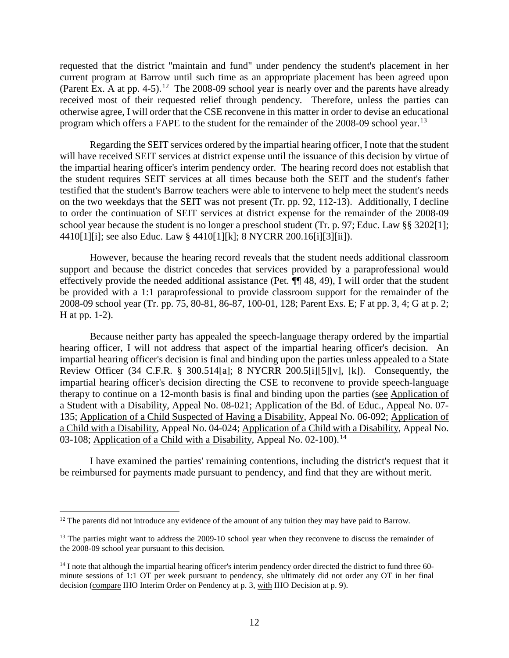requested that the district "maintain and fund" under pendency the student's placement in her current program at Barrow until such time as an appropriate placement has been agreed upon (Parent Ex. A at pp. 4-5).<sup>12</sup> The 2008-09 school year is nearly over and the parents have already received most of their requested relief through pendency. Therefore, unless the parties can otherwise agree, I will order that the CSE reconvene in this matter in order to devise an educational program which offers a FAPE to the student for the remainder of the 2008-09 school year.<sup>13</sup>

Regarding the SEIT services ordered by the impartial hearing officer, I note that the student will have received SEIT services at district expense until the issuance of this decision by virtue of the impartial hearing officer's interim pendency order. The hearing record does not establish that the student requires SEIT services at all times because both the SEIT and the student's father testified that the student's Barrow teachers were able to intervene to help meet the student's needs on the two weekdays that the SEIT was not present (Tr. pp. 92, 112-13). Additionally, I decline to order the continuation of SEIT services at district expense for the remainder of the 2008-09 school year because the student is no longer a preschool student (Tr. p. 97; Educ. Law §§ 3202[1]; 4410[1][i]; see also Educ. Law § 4410[1][k]; 8 NYCRR 200.16[i][3][ii]).

However, because the hearing record reveals that the student needs additional classroom support and because the district concedes that services provided by a paraprofessional would effectively provide the needed additional assistance (Pet. ¶¶ 48, 49), I will order that the student be provided with a 1:1 paraprofessional to provide classroom support for the remainder of the 2008-09 school year (Tr. pp. 75, 80-81, 86-87, 100-01, 128; Parent Exs. E; F at pp. 3, 4; G at p. 2; H at pp. 1-2).

Because neither party has appealed the speech-language therapy ordered by the impartial hearing officer, I will not address that aspect of the impartial hearing officer's decision. An impartial hearing officer's decision is final and binding upon the parties unless appealed to a State Review Officer (34 C.F.R. § 300.514[a]; 8 NYCRR 200.5[i][5][v], [k]). Consequently, the impartial hearing officer's decision directing the CSE to reconvene to provide speech-language therapy to continue on a 12-month basis is final and binding upon the parties (see Application of a Student with a Disability, Appeal No. 08-021; Application of the Bd. of Educ., Appeal No. 07- 135; Application of a Child Suspected of Having a Disability, Appeal No. 06-092; Application of a Child with a Disability, Appeal No. 04-024; Application of a Child with a Disability, Appeal No. 03-108; Application of a Child with a Disability, Appeal No.  $02-100$ ).<sup>14</sup>

I have examined the parties' remaining contentions, including the district's request that it be reimbursed for payments made pursuant to pendency, and find that they are without merit.

<sup>&</sup>lt;sup>12</sup> The parents did not introduce any evidence of the amount of any tuition they may have paid to Barrow.

<sup>&</sup>lt;sup>13</sup> The parties might want to address the 2009-10 school year when they reconvene to discuss the remainder of the 2008-09 school year pursuant to this decision.

<sup>&</sup>lt;sup>14</sup> I note that although the impartial hearing officer's interim pendency order directed the district to fund three 60minute sessions of 1:1 OT per week pursuant to pendency, she ultimately did not order any OT in her final decision (compare IHO Interim Order on Pendency at p. 3, with IHO Decision at p. 9).